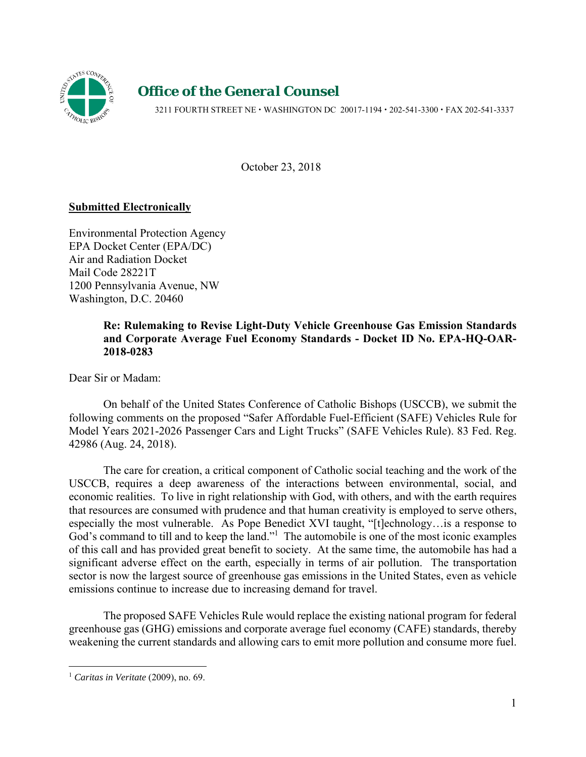

# *Office of the General Counsel*

3211 FOURTH STREET NE • WASHINGTON DC 20017-1194 • 202-541-3300 • FAX 202-541-3337

October 23, 2018

# **Submitted Electronically**

Environmental Protection Agency EPA Docket Center (EPA/DC) Air and Radiation Docket Mail Code 28221T 1200 Pennsylvania Avenue, NW Washington, D.C. 20460

# **Re: Rulemaking to Revise Light-Duty Vehicle Greenhouse Gas Emission Standards and Corporate Average Fuel Economy Standards - Docket ID No. EPA-HQ-OAR-2018-0283**

Dear Sir or Madam:

On behalf of the United States Conference of Catholic Bishops (USCCB), we submit the following comments on the proposed "Safer Affordable Fuel-Efficient (SAFE) Vehicles Rule for Model Years 2021-2026 Passenger Cars and Light Trucks" (SAFE Vehicles Rule). 83 Fed. Reg. 42986 (Aug. 24, 2018).

The care for creation, a critical component of Catholic social teaching and the work of the USCCB, requires a deep awareness of the interactions between environmental, social, and economic realities. To live in right relationship with God, with others, and with the earth requires that resources are consumed with prudence and that human creativity is employed to serve others, especially the most vulnerable. As Pope Benedict XVI taught, "[t]echnology…is a response to God's command to till and to keep the land."<sup>1</sup> The automobile is one of the most iconic examples of this call and has provided great benefit to society. At the same time, the automobile has had a significant adverse effect on the earth, especially in terms of air pollution. The transportation sector is now the largest source of greenhouse gas emissions in the United States, even as vehicle emissions continue to increase due to increasing demand for travel.

The proposed SAFE Vehicles Rule would replace the existing national program for federal greenhouse gas (GHG) emissions and corporate average fuel economy (CAFE) standards, thereby weakening the current standards and allowing cars to emit more pollution and consume more fuel.

<sup>1</sup> *Caritas in Veritate* (2009), no. 69.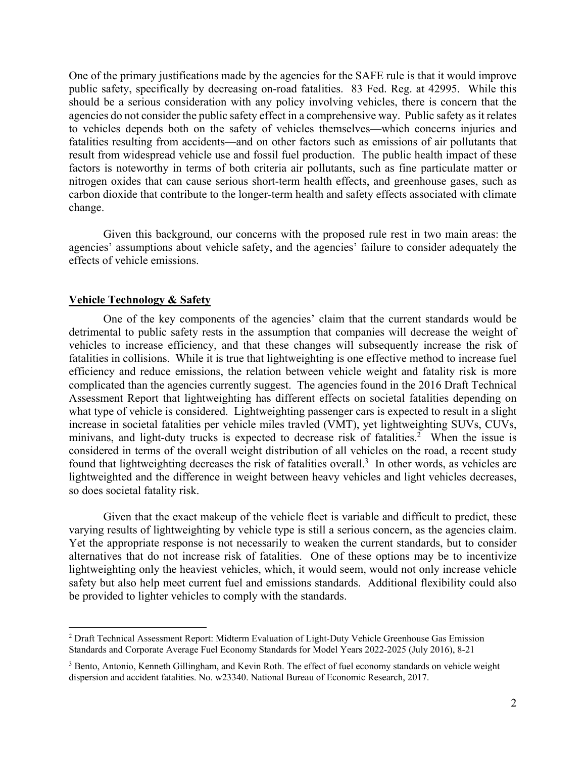One of the primary justifications made by the agencies for the SAFE rule is that it would improve public safety, specifically by decreasing on-road fatalities. 83 Fed. Reg. at 42995. While this should be a serious consideration with any policy involving vehicles, there is concern that the agencies do not consider the public safety effect in a comprehensive way. Public safety as it relates to vehicles depends both on the safety of vehicles themselves—which concerns injuries and fatalities resulting from accidents—and on other factors such as emissions of air pollutants that result from widespread vehicle use and fossil fuel production. The public health impact of these factors is noteworthy in terms of both criteria air pollutants, such as fine particulate matter or nitrogen oxides that can cause serious short-term health effects, and greenhouse gases, such as carbon dioxide that contribute to the longer-term health and safety effects associated with climate change.

Given this background, our concerns with the proposed rule rest in two main areas: the agencies' assumptions about vehicle safety, and the agencies' failure to consider adequately the effects of vehicle emissions.

## **Vehicle Technology & Safety**

1

One of the key components of the agencies' claim that the current standards would be detrimental to public safety rests in the assumption that companies will decrease the weight of vehicles to increase efficiency, and that these changes will subsequently increase the risk of fatalities in collisions. While it is true that lightweighting is one effective method to increase fuel efficiency and reduce emissions, the relation between vehicle weight and fatality risk is more complicated than the agencies currently suggest. The agencies found in the 2016 Draft Technical Assessment Report that lightweighting has different effects on societal fatalities depending on what type of vehicle is considered. Lightweighting passenger cars is expected to result in a slight increase in societal fatalities per vehicle miles travled (VMT), yet lightweighting SUVs, CUVs, minivans, and light-duty trucks is expected to decrease risk of fatalities.<sup>2</sup> When the issue is considered in terms of the overall weight distribution of all vehicles on the road, a recent study found that lightweighting decreases the risk of fatalities overall.<sup>3</sup> In other words, as vehicles are lightweighted and the difference in weight between heavy vehicles and light vehicles decreases, so does societal fatality risk.

Given that the exact makeup of the vehicle fleet is variable and difficult to predict, these varying results of lightweighting by vehicle type is still a serious concern, as the agencies claim. Yet the appropriate response is not necessarily to weaken the current standards, but to consider alternatives that do not increase risk of fatalities. One of these options may be to incentivize lightweighting only the heaviest vehicles, which, it would seem, would not only increase vehicle safety but also help meet current fuel and emissions standards. Additional flexibility could also be provided to lighter vehicles to comply with the standards.

<sup>2</sup> Draft Technical Assessment Report: Midterm Evaluation of Light-Duty Vehicle Greenhouse Gas Emission Standards and Corporate Average Fuel Economy Standards for Model Years 2022-2025 (July 2016), 8-21

<sup>&</sup>lt;sup>3</sup> Bento, Antonio, Kenneth Gillingham, and Kevin Roth. The effect of fuel economy standards on vehicle weight dispersion and accident fatalities. No. w23340. National Bureau of Economic Research, 2017.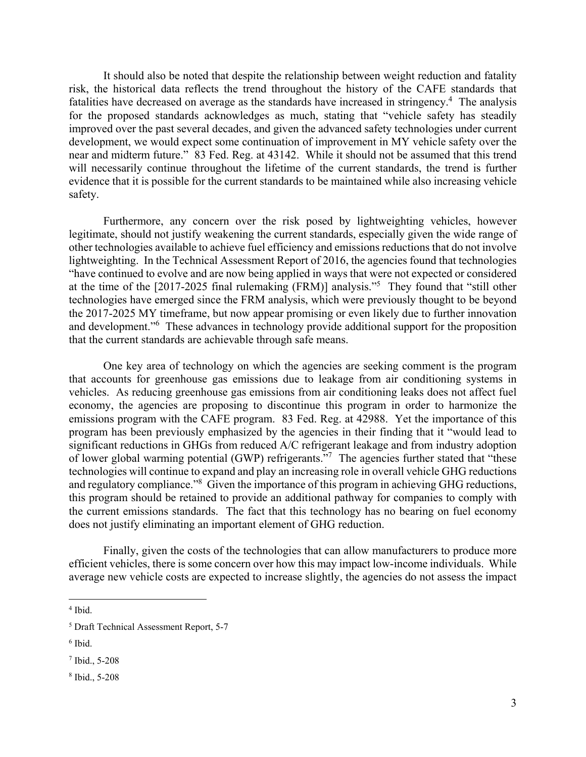It should also be noted that despite the relationship between weight reduction and fatality risk, the historical data reflects the trend throughout the history of the CAFE standards that fatalities have decreased on average as the standards have increased in stringency.<sup>4</sup> The analysis for the proposed standards acknowledges as much, stating that "vehicle safety has steadily improved over the past several decades, and given the advanced safety technologies under current development, we would expect some continuation of improvement in MY vehicle safety over the near and midterm future." 83 Fed. Reg. at 43142. While it should not be assumed that this trend will necessarily continue throughout the lifetime of the current standards, the trend is further evidence that it is possible for the current standards to be maintained while also increasing vehicle safety.

Furthermore, any concern over the risk posed by lightweighting vehicles, however legitimate, should not justify weakening the current standards, especially given the wide range of other technologies available to achieve fuel efficiency and emissions reductions that do not involve lightweighting. In the Technical Assessment Report of 2016, the agencies found that technologies "have continued to evolve and are now being applied in ways that were not expected or considered at the time of the [2017-2025 final rulemaking (FRM)] analysis."<sup>5</sup> They found that "still other technologies have emerged since the FRM analysis, which were previously thought to be beyond the 2017-2025 MY timeframe, but now appear promising or even likely due to further innovation and development."<sup>6</sup> These advances in technology provide additional support for the proposition that the current standards are achievable through safe means.

One key area of technology on which the agencies are seeking comment is the program that accounts for greenhouse gas emissions due to leakage from air conditioning systems in vehicles. As reducing greenhouse gas emissions from air conditioning leaks does not affect fuel economy, the agencies are proposing to discontinue this program in order to harmonize the emissions program with the CAFE program. 83 Fed. Reg. at 42988. Yet the importance of this program has been previously emphasized by the agencies in their finding that it "would lead to significant reductions in GHGs from reduced A/C refrigerant leakage and from industry adoption of lower global warming potential (GWP) refrigerants."<sup>7</sup> The agencies further stated that "these technologies will continue to expand and play an increasing role in overall vehicle GHG reductions and regulatory compliance."<sup>8</sup> Given the importance of this program in achieving GHG reductions, this program should be retained to provide an additional pathway for companies to comply with the current emissions standards. The fact that this technology has no bearing on fuel economy does not justify eliminating an important element of GHG reduction.

Finally, given the costs of the technologies that can allow manufacturers to produce more efficient vehicles, there is some concern over how this may impact low-income individuals. While average new vehicle costs are expected to increase slightly, the agencies do not assess the impact

<sup>4</sup> Ibid.

<sup>5</sup> Draft Technical Assessment Report, 5-7

<sup>6</sup> Ibid.

<sup>7</sup> Ibid., 5-208

<sup>8</sup> Ibid., 5-208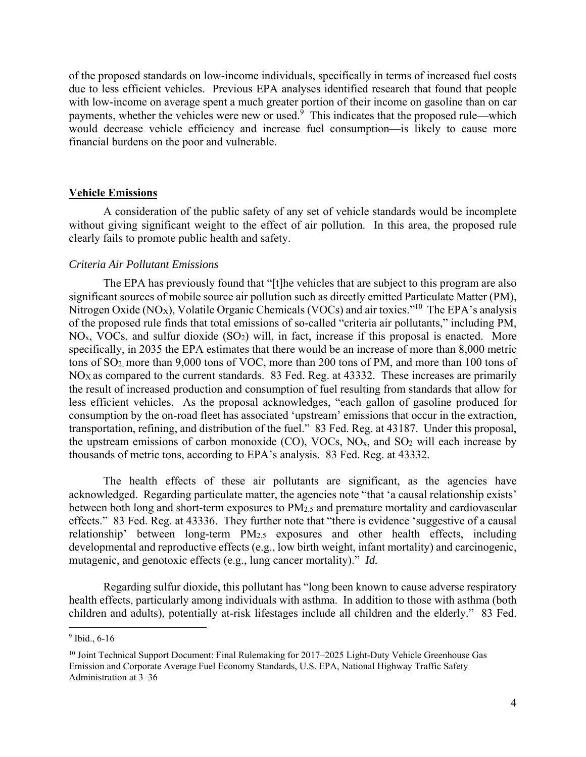of the proposed standards on low-income individuals, specifically in terms of increased fuel costs due to less efficient vehicles. Previous EPA analyses identified research that found that people with low-income on average spent a much greater portion of their income on gasoline than on car payments, whether the vehicles were new or used.<sup>9</sup> This indicates that the proposed rule—which would decrease vehicle efficiency and increase fuel consumption—is likely to cause more financial burdens on the poor and vulnerable.

#### **Vehicle Emissions**

A consideration of the public safety of any set of vehicle standards would be incomplete without giving significant weight to the effect of air pollution. In this area, the proposed rule clearly fails to promote public health and safety.

## *Criteria Air Pollutant Emissions*

The EPA has previously found that "[t]he vehicles that are subject to this program are also significant sources of mobile source air pollution such as directly emitted Particulate Matter (PM), Nitrogen Oxide (NO<sub>X</sub>), Volatile Organic Chemicals (VOCs) and air toxics."<sup>10</sup> The EPA's analysis of the proposed rule finds that total emissions of so-called "criteria air pollutants," including PM,  $NO<sub>x</sub>$ , VOCs, and sulfur dioxide (SO<sub>2</sub>) will, in fact, increase if this proposal is enacted. More specifically, in 2035 the EPA estimates that there would be an increase of more than 8,000 metric tons of SO2, more than 9,000 tons of VOC, more than 200 tons of PM, and more than 100 tons of NOX as compared to the current standards. 83 Fed. Reg. at 43332. These increases are primarily the result of increased production and consumption of fuel resulting from standards that allow for less efficient vehicles. As the proposal acknowledges, "each gallon of gasoline produced for consumption by the on-road fleet has associated 'upstream' emissions that occur in the extraction, transportation, refining, and distribution of the fuel." 83 Fed. Reg. at 43187. Under this proposal, the upstream emissions of carbon monoxide  $(CO)$ , VOCs, NO<sub>x</sub>, and SO<sub>2</sub> will each increase by thousands of metric tons, according to EPA's analysis. 83 Fed. Reg. at 43332.

The health effects of these air pollutants are significant, as the agencies have acknowledged. Regarding particulate matter, the agencies note "that 'a causal relationship exists' between both long and short-term exposures to PM2.5 and premature mortality and cardiovascular effects." 83 Fed. Reg. at 43336. They further note that "there is evidence 'suggestive of a causal relationship' between long-term PM2.5 exposures and other health effects, including developmental and reproductive effects (e.g., low birth weight, infant mortality) and carcinogenic, mutagenic, and genotoxic effects (e.g., lung cancer mortality)." *Id.* 

Regarding sulfur dioxide, this pollutant has "long been known to cause adverse respiratory health effects, particularly among individuals with asthma. In addition to those with asthma (both children and adults), potentially at-risk lifestages include all children and the elderly." 83 Fed.

<sup>9</sup> Ibid., 6-16

<sup>&</sup>lt;sup>10</sup> Joint Technical Support Document: Final Rulemaking for 2017–2025 Light-Duty Vehicle Greenhouse Gas Emission and Corporate Average Fuel Economy Standards, U.S. EPA, National Highway Traffic Safety Administration at 3–36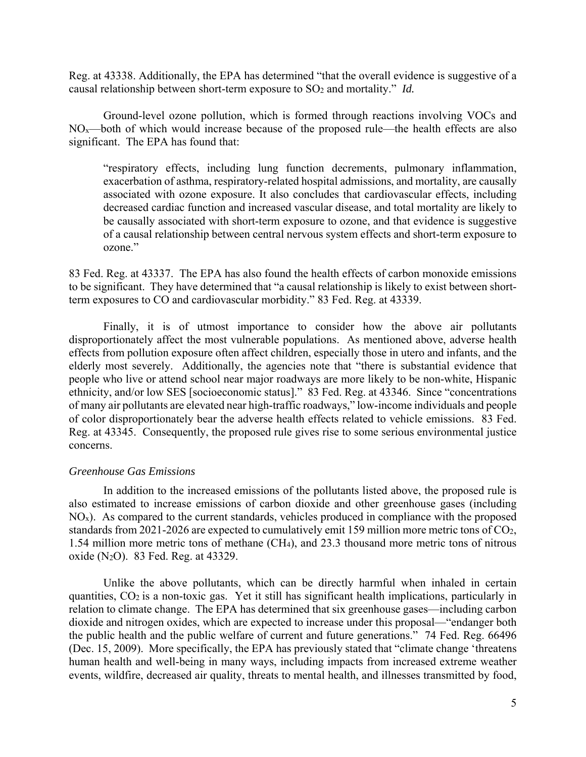Reg. at 43338. Additionally, the EPA has determined "that the overall evidence is suggestive of a causal relationship between short-term exposure to SO<sub>2</sub> and mortality." *Id.* 

Ground-level ozone pollution, which is formed through reactions involving VOCs and  $NO<sub>x</sub>$ —both of which would increase because of the proposed rule—the health effects are also significant. The EPA has found that:

"respiratory effects, including lung function decrements, pulmonary inflammation, exacerbation of asthma, respiratory-related hospital admissions, and mortality, are causally associated with ozone exposure. It also concludes that cardiovascular effects, including decreased cardiac function and increased vascular disease, and total mortality are likely to be causally associated with short-term exposure to ozone, and that evidence is suggestive of a causal relationship between central nervous system effects and short-term exposure to ozone."

83 Fed. Reg. at 43337. The EPA has also found the health effects of carbon monoxide emissions to be significant. They have determined that "a causal relationship is likely to exist between shortterm exposures to CO and cardiovascular morbidity." 83 Fed. Reg. at 43339.

Finally, it is of utmost importance to consider how the above air pollutants disproportionately affect the most vulnerable populations. As mentioned above, adverse health effects from pollution exposure often affect children, especially those in utero and infants, and the elderly most severely. Additionally, the agencies note that "there is substantial evidence that people who live or attend school near major roadways are more likely to be non-white, Hispanic ethnicity, and/or low SES [socioeconomic status]." 83 Fed. Reg. at 43346. Since "concentrations of many air pollutants are elevated near high-traffic roadways," low-income individuals and people of color disproportionately bear the adverse health effects related to vehicle emissions. 83 Fed. Reg. at 43345. Consequently, the proposed rule gives rise to some serious environmental justice concerns.

#### *Greenhouse Gas Emissions*

In addition to the increased emissions of the pollutants listed above, the proposed rule is also estimated to increase emissions of carbon dioxide and other greenhouse gases (including  $NO<sub>x</sub>$ ). As compared to the current standards, vehicles produced in compliance with the proposed standards from 2021-2026 are expected to cumulatively emit 159 million more metric tons of CO2, 1.54 million more metric tons of methane (CH4), and 23.3 thousand more metric tons of nitrous oxide (N2O). 83 Fed. Reg. at 43329.

Unlike the above pollutants, which can be directly harmful when inhaled in certain quantities, CO2 is a non-toxic gas. Yet it still has significant health implications, particularly in relation to climate change. The EPA has determined that six greenhouse gases—including carbon dioxide and nitrogen oxides, which are expected to increase under this proposal—"endanger both the public health and the public welfare of current and future generations." 74 Fed. Reg. 66496 (Dec. 15, 2009). More specifically, the EPA has previously stated that "climate change 'threatens human health and well-being in many ways, including impacts from increased extreme weather events, wildfire, decreased air quality, threats to mental health, and illnesses transmitted by food,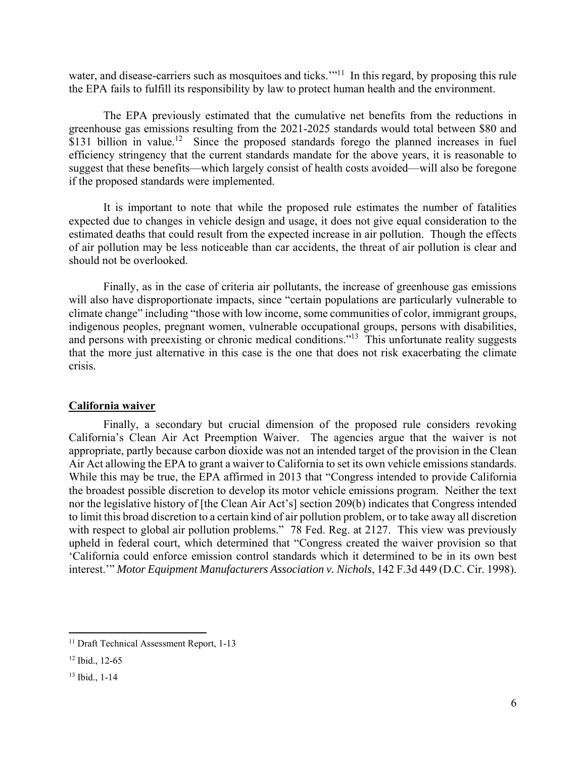water, and disease-carriers such as mosquitoes and ticks."<sup>11</sup> In this regard, by proposing this rule the EPA fails to fulfill its responsibility by law to protect human health and the environment.

The EPA previously estimated that the cumulative net benefits from the reductions in greenhouse gas emissions resulting from the 2021-2025 standards would total between \$80 and  $$131$  billion in value.<sup>12</sup> Since the proposed standards forego the planned increases in fuel efficiency stringency that the current standards mandate for the above years, it is reasonable to suggest that these benefits—which largely consist of health costs avoided—will also be foregone if the proposed standards were implemented.

It is important to note that while the proposed rule estimates the number of fatalities expected due to changes in vehicle design and usage, it does not give equal consideration to the estimated deaths that could result from the expected increase in air pollution. Though the effects of air pollution may be less noticeable than car accidents, the threat of air pollution is clear and should not be overlooked.

Finally, as in the case of criteria air pollutants, the increase of greenhouse gas emissions will also have disproportionate impacts, since "certain populations are particularly vulnerable to climate change" including "those with low income, some communities of color, immigrant groups, indigenous peoples, pregnant women, vulnerable occupational groups, persons with disabilities, and persons with preexisting or chronic medical conditions."<sup>13</sup> This unfortunate reality suggests that the more just alternative in this case is the one that does not risk exacerbating the climate crisis.

## **California waiver**

 Finally, a secondary but crucial dimension of the proposed rule considers revoking California's Clean Air Act Preemption Waiver. The agencies argue that the waiver is not appropriate, partly because carbon dioxide was not an intended target of the provision in the Clean Air Act allowing the EPA to grant a waiver to California to set its own vehicle emissions standards. While this may be true, the EPA affirmed in 2013 that "Congress intended to provide California the broadest possible discretion to develop its motor vehicle emissions program. Neither the text nor the legislative history of [the Clean Air Act's] section 209(b) indicates that Congress intended to limit this broad discretion to a certain kind of air pollution problem, or to take away all discretion with respect to global air pollution problems." 78 Fed. Reg. at 2127. This view was previously upheld in federal court, which determined that "Congress created the waiver provision so that 'California could enforce emission control standards which it determined to be in its own best interest.'" *Motor Equipment Manufacturers Association v. Nichols*, 142 F.3d 449 (D.C. Cir. 1998).

<sup>&</sup>lt;sup>11</sup> Draft Technical Assessment Report, 1-13

<sup>12</sup> Ibid., 12-65

<sup>13</sup> Ibid., 1-14